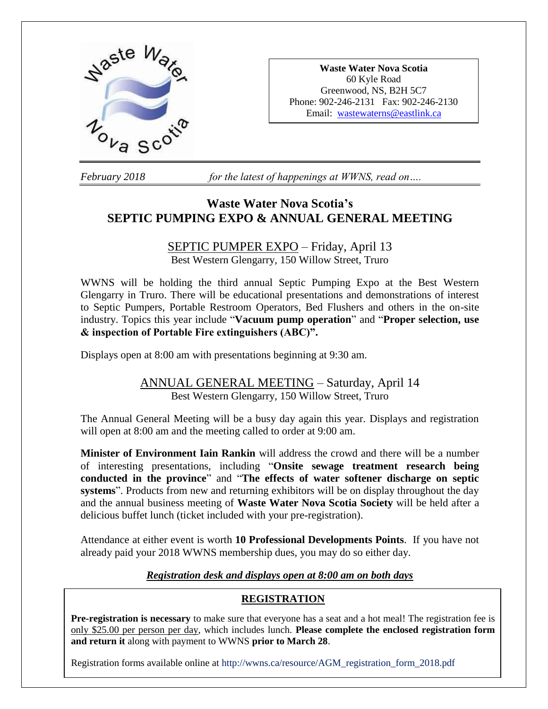

**Waste Water Nova Scotia** 60 Kyle Road Greenwood, NS, B2H 5C7 Phone: 902-246-2131 Fax: 902-246-2130 Email: [wastewaterns@eastlink.ca](mailto:wastewaterns@eastlink.ca)

*February 2018 for the latest of happenings at WWNS, read on….*

# **Waste Water Nova Scotia's SEPTIC PUMPING EXPO & ANNUAL GENERAL MEETING**

## SEPTIC PUMPER EXPO – Friday, April 13 Best Western Glengarry, 150 Willow Street, Truro

WWNS will be holding the third annual Septic Pumping Expo at the Best Western Glengarry in Truro. There will be educational presentations and demonstrations of interest to Septic Pumpers, Portable Restroom Operators, Bed Flushers and others in the on-site industry. Topics this year include "**Vacuum pump operation**" and "**Proper selection, use & inspection of Portable Fire extinguishers (ABC)".** 

Displays open at 8:00 am with presentations beginning at 9:30 am.

# ANNUAL GENERAL MEETING – Saturday, April 14 Best Western Glengarry, 150 Willow Street, Truro

The Annual General Meeting will be a busy day again this year. Displays and registration will open at 8:00 am and the meeting called to order at 9:00 am.

**Minister of Environment Iain Rankin** will address the crowd and there will be a number of interesting presentations, including "**Onsite sewage treatment research being conducted in the province**" and "**The effects of water softener discharge on septic systems**". Products from new and returning exhibitors will be on display throughout the day and the annual business meeting of **Waste Water Nova Scotia Society** will be held after a delicious buffet lunch (ticket included with your pre-registration).

Attendance at either event is worth **10 Professional Developments Points**. If you have not already paid your 2018 WWNS membership dues, you may do so either day.

## *Registration desk and displays open at 8:00 am on both days*

## **REGISTRATION**

**Pre-registration is necessary** to make sure that everyone has a seat and a hot meal! The registration fee is only \$25.00 per person per day, which includes lunch. **Please complete the enclosed registration form and return it** along with payment to WWNS **prior to March 28**.

Registration forms available online at http://wwns.ca/resource/AGM\_registration\_form\_2018.pdf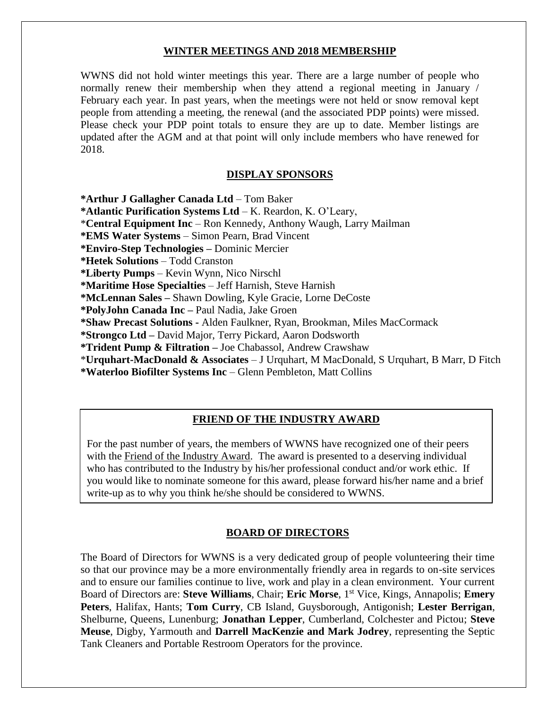### **WINTER MEETINGS AND 2018 MEMBERSHIP**

WWNS did not hold winter meetings this year. There are a large number of people who normally renew their membership when they attend a regional meeting in January / February each year. In past years, when the meetings were not held or snow removal kept people from attending a meeting, the renewal (and the associated PDP points) were missed. Please check your PDP point totals to ensure they are up to date. Member listings are updated after the AGM and at that point will only include members who have renewed for 2018.

### **DISPLAY SPONSORS**

**\*Arthur J Gallagher Canada Ltd** – Tom Baker

**\*Atlantic Purification Systems Ltd** – K. Reardon, K. O'Leary,

\***Central Equipment Inc** – Ron Kennedy, Anthony Waugh, Larry Mailman

**\*EMS Water Systems** – Simon Pearn, Brad Vincent

**\*Enviro-Step Technologies –** Dominic Mercier

**\*Hetek Solutions** – Todd Cranston

**\*Liberty Pumps** – Kevin Wynn, Nico Nirschl

**\*Maritime Hose Specialties** – Jeff Harnish, Steve Harnish

**\*McLennan Sales –** Shawn Dowling, Kyle Gracie, Lorne DeCoste

**\*PolyJohn Canada Inc –** Paul Nadia, Jake Groen

**\*Shaw Precast Solutions -** Alden Faulkner, Ryan, Brookman, Miles MacCormack

**\*Strongco Ltd –** David Major, Terry Pickard, Aaron Dodsworth

**\*Trident Pump & Filtration –** Joe Chabassol, Andrew Crawshaw

\***Urquhart-MacDonald & Associates** – J Urquhart, M MacDonald, S Urquhart, B Marr, D Fitch

**\*Waterloo Biofilter Systems Inc** – Glenn Pembleton, Matt Collins

### **FRIEND OF THE INDUSTRY AWARD**

For the past number of years, the members of WWNS have recognized one of their peers with the Friend of the Industry Award. The award is presented to a deserving individual who has contributed to the Industry by his/her professional conduct and/or work ethic. If you would like to nominate someone for this award, please forward his/her name and a brief write-up as to why you think he/she should be considered to WWNS.

#### **BOARD OF DIRECTORS**

The Board of Directors for WWNS is a very dedicated group of people volunteering their time so that our province may be a more environmentally friendly area in regards to on-site services and to ensure our families continue to live, work and play in a clean environment. Your current Board of Directors are: **Steve Williams**, Chair; **Eric Morse**, 1 st Vice, Kings, Annapolis; **Emery Peters**, Halifax, Hants; **Tom Curry**, CB Island, Guysborough, Antigonish; **Lester Berrigan**, Shelburne, Queens, Lunenburg; **Jonathan Lepper**, Cumberland, Colchester and Pictou; **Steve Meuse**, Digby, Yarmouth and **Darrell MacKenzie and Mark Jodrey**, representing the Septic Tank Cleaners and Portable Restroom Operators for the province.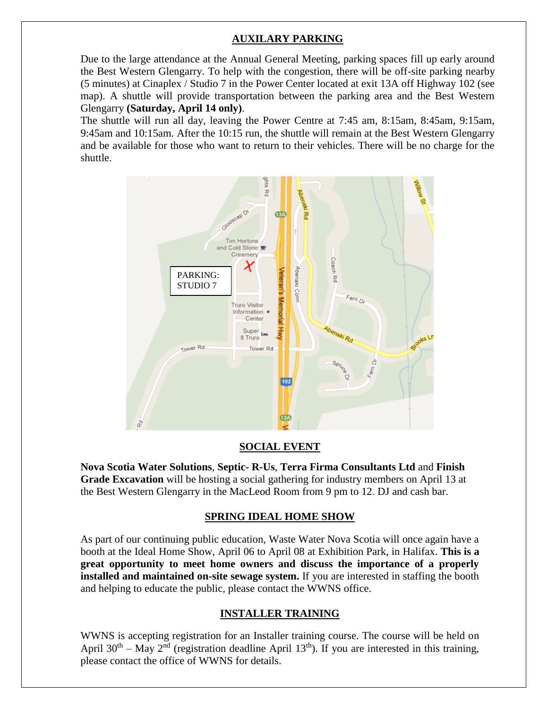## **AUXILARY PARKING**

Due to the large attendance at the Annual General Meeting, parking spaces fill up early around the Best Western Glengarry. To help with the congestion, there will be off-site parking nearby (5 minutes) at Cinaplex / Studio 7 in the Power Center located at exit 13A off Highway 102 (see map). A shuttle will provide transportation between the parking area and the Best Western Glengarry **(Saturday, April 14 only)**.

The shuttle will run all day, leaving the Power Centre at 7:45 am, 8:15am, 8:45am, 9:15am, 9:45am and 10:15am. After the 10:15 run, the shuttle will remain at the Best Western Glengarry and be available for those who want to return to their vehicles. There will be no charge for the shuttle.



### **SOCIAL EVENT**

**Nova Scotia Water Solutions**, **Septic- R-Us**, **Terra Firma Consultants Ltd** and **Finish Grade Excavation** will be hosting a social gathering for industry members on April 13 at the Best Western Glengarry in the MacLeod Room from 9 pm to 12. DJ and cash bar.

### **SPRING IDEAL HOME SHOW**

As part of our continuing public education, Waste Water Nova Scotia will once again have a booth at the Ideal Home Show, April 06 to April 08 at Exhibition Park, in Halifax. **This is a great opportunity to meet home owners and discuss the importance of a properly installed and maintained on-site sewage system.** If you are interested in staffing the booth and helping to educate the public, please contact the WWNS office.

### **INSTALLER TRAINING**

WWNS is accepting registration for an Installer training course. The course will be held on April 30<sup>th</sup> – May 2<sup>nd</sup> (registration deadline April 13<sup>th</sup>). If you are interested in this training, please contact the office of WWNS for details.